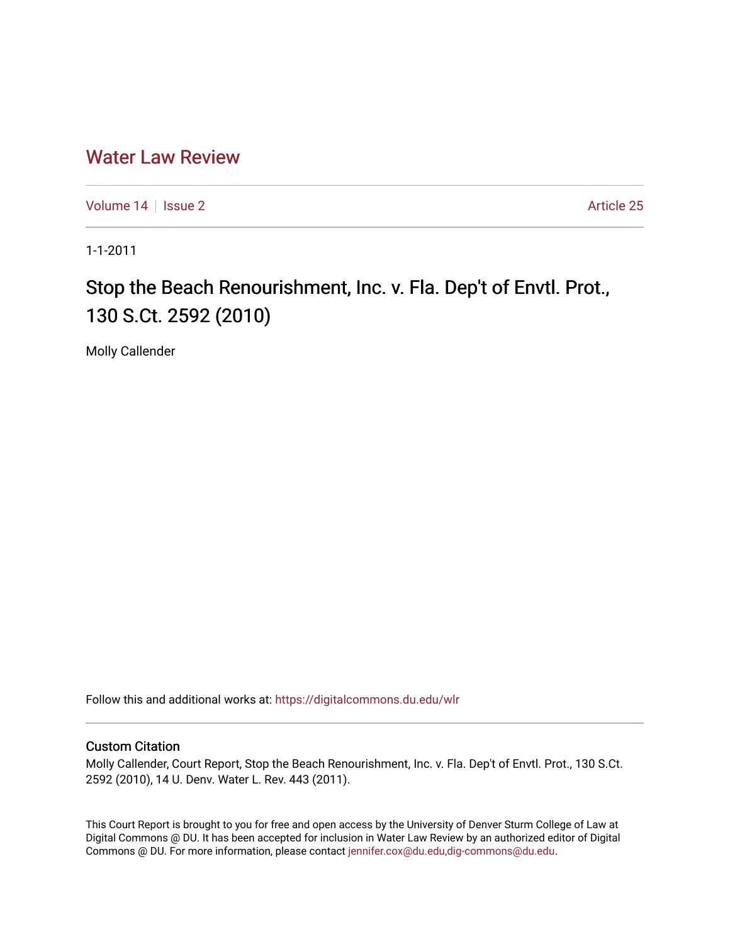## [Water Law Review](https://digitalcommons.du.edu/wlr)

[Volume 14](https://digitalcommons.du.edu/wlr/vol14) | [Issue 2](https://digitalcommons.du.edu/wlr/vol14/iss2) Article 25

1-1-2011

## Stop the Beach Renourishment, Inc. v. Fla. Dep't of Envtl. Prot., 130 S.Ct. 2592 (2010)

Molly Callender

Follow this and additional works at: [https://digitalcommons.du.edu/wlr](https://digitalcommons.du.edu/wlr?utm_source=digitalcommons.du.edu%2Fwlr%2Fvol14%2Fiss2%2F25&utm_medium=PDF&utm_campaign=PDFCoverPages) 

## Custom Citation

Molly Callender, Court Report, Stop the Beach Renourishment, Inc. v. Fla. Dep't of Envtl. Prot., 130 S.Ct. 2592 (2010), 14 U. Denv. Water L. Rev. 443 (2011).

This Court Report is brought to you for free and open access by the University of Denver Sturm College of Law at Digital Commons @ DU. It has been accepted for inclusion in Water Law Review by an authorized editor of Digital Commons @ DU. For more information, please contact [jennifer.cox@du.edu,dig-commons@du.edu.](mailto:jennifer.cox@du.edu,dig-commons@du.edu)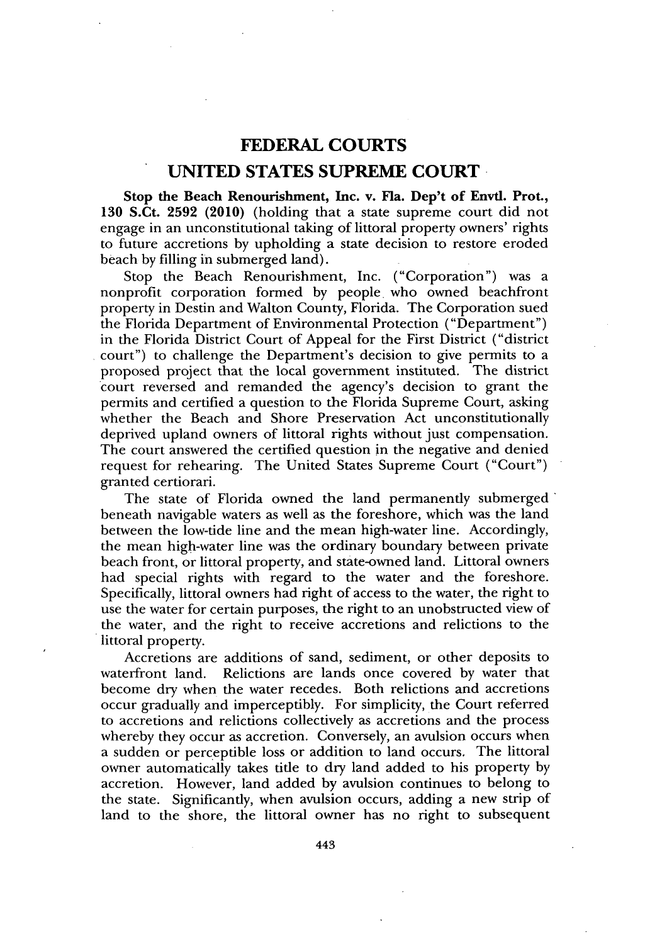## **FEDERAL COURTS UNITED STATES SUPREME COURT**

Stop **the Beach Renourishment, Inc. v. Fla. Dep't of Envtl. Prot., 130** S.Ct. **2592** (2010) (holding that a state supreme court did not engage in an unconstitutional taking of littoral property owners' rights to future accretions **by** upholding a state decision to restore eroded beach **by** filling in submerged land).

Stop the Beach Renourishment, Inc. ("Corporation") was a nonprofit corporation formed **by** people. who owned beachfront property in Destin and Walton County, Florida. The Corporation sued the Florida Department of Environmental Protection ("Department") in the Florida District Court of Appeal for the First District ("district court") to challenge the Department's decision to give permits to a proposed project that the local government instituted. The district court reversed and remanded the agency's decision to grant the permits and certified a question to the Florida Supreme Court, asking whether the Beach and Shore Preservation Act unconstitutionally deprived upland owners of littoral rights without just compensation. The court answered the certified question in the negative and denied request for rehearing. The United States Supreme Court ("Court") granted certiorari.

The state of Florida owned the land permanently submerged beneath navigable waters as well as the foreshore, which was the land between the low-tide line and the mean high-water line. Accordingly, the mean high-water line was the ordinary boundary between private beach front, or littoral property, and state-owned land. Littoral owners had special rights with regard to the water and the foreshore. Specifically, littoral owners had right of access to the water, the right to use the water for certain purposes, the right to an unobstructed view of the water, and the right to receive accretions and relictions to the littoral property.

Accretions are additions of sand, sediment, or other deposits to waterfront land. Relictions are lands once covered **by** water that become dry when the water recedes. Both relictions and accretions occur gradually and imperceptibly. For simplicity, the Court referred to accretions and relictions collectively as accretions and the process whereby they occur as accretion. Conversely, an avulsion occurs when a sudden or perceptible loss or addition to land occurs. The littoral owner automatically takes title to dry land added to his property **by** accretion. However, land added **by** avulsion continues to belong to the state. Significantly, when avulsion occurs, adding a new strip of land to the shore, the littoral owner has no right to subsequent